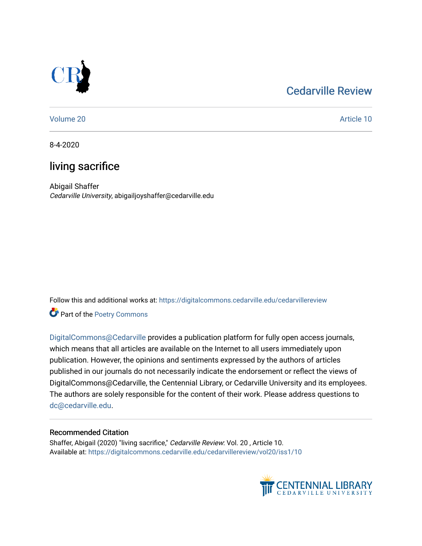### [Cedarville Review](https://digitalcommons.cedarville.edu/cedarvillereview)



[Volume 20](https://digitalcommons.cedarville.edu/cedarvillereview/vol20) Article 10

8-4-2020

## living sacrifice

Abigail Shaffer Cedarville University, abigailjoyshaffer@cedarville.edu

Follow this and additional works at: [https://digitalcommons.cedarville.edu/cedarvillereview](https://digitalcommons.cedarville.edu/cedarvillereview?utm_source=digitalcommons.cedarville.edu%2Fcedarvillereview%2Fvol20%2Fiss1%2F10&utm_medium=PDF&utm_campaign=PDFCoverPages) 

Part of the [Poetry Commons](http://network.bepress.com/hgg/discipline/1153?utm_source=digitalcommons.cedarville.edu%2Fcedarvillereview%2Fvol20%2Fiss1%2F10&utm_medium=PDF&utm_campaign=PDFCoverPages) 

[DigitalCommons@Cedarville](http://digitalcommons.cedarville.edu/) provides a publication platform for fully open access journals, which means that all articles are available on the Internet to all users immediately upon publication. However, the opinions and sentiments expressed by the authors of articles published in our journals do not necessarily indicate the endorsement or reflect the views of DigitalCommons@Cedarville, the Centennial Library, or Cedarville University and its employees. The authors are solely responsible for the content of their work. Please address questions to [dc@cedarville.edu.](mailto:dc@cedarville.edu)

### Recommended Citation

Shaffer, Abigail (2020) "living sacrifice," Cedarville Review: Vol. 20 , Article 10. Available at: [https://digitalcommons.cedarville.edu/cedarvillereview/vol20/iss1/10](https://digitalcommons.cedarville.edu/cedarvillereview/vol20/iss1/10?utm_source=digitalcommons.cedarville.edu%2Fcedarvillereview%2Fvol20%2Fiss1%2F10&utm_medium=PDF&utm_campaign=PDFCoverPages)

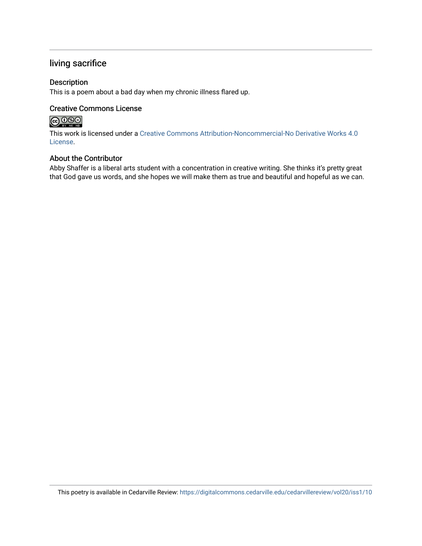### living sacrifice

### Description

This is a poem about a bad day when my chronic illness flared up.

### Creative Commons License

### 

This work is licensed under a [Creative Commons Attribution-Noncommercial-No Derivative Works 4.0](http://creativecommons.org/licenses/by-nc-nd/4.0/) [License](http://creativecommons.org/licenses/by-nc-nd/4.0/).

### About the Contributor

Abby Shaffer is a liberal arts student with a concentration in creative writing. She thinks it's pretty great that God gave us words, and she hopes we will make them as true and beautiful and hopeful as we can.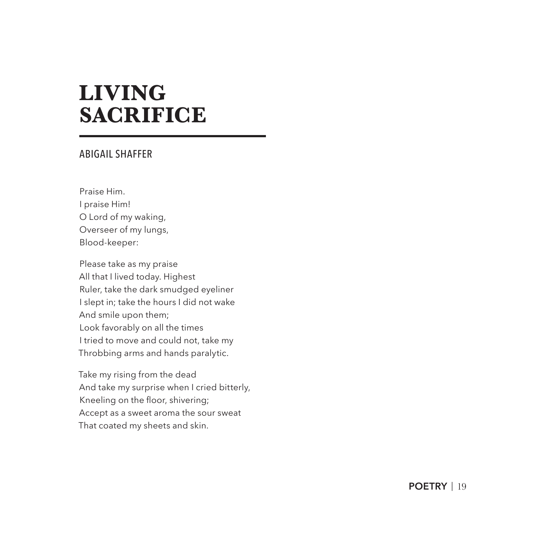# **LIVING SACRIFICE**

#### ABIGAIL SHAFFER

Praise Him. I praise Him! O Lord of my waking, Overseer of my lungs, Blood-keeper:

Please take as my praise All that I lived today. Highest Ruler, take the dark smudged eyeliner I slept in; take the hours I did not wake And smile upon them; Look favorably on all the times I tried to move and could not, take my Throbbing arms and hands paralytic.

Take my rising from the dead And take my surprise when I cried bitterly, Kneeling on the floor, shivering; Accept as a sweet aroma the sour sweat That coated my sheets and skin.